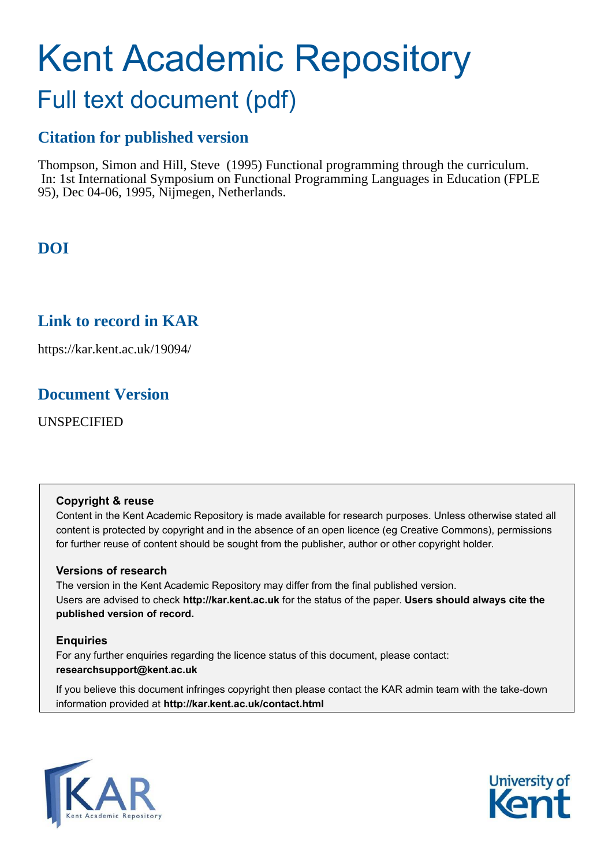# Kent Academic Repository Full text document (pdf)

# **Citation for published version**

Thompson, Simon and Hill, Steve (1995) Functional programming through the curriculum. In: 1st International Symposium on Functional Programming Languages in Education (FPLE 95), Dec 04-06, 1995, Nijmegen, Netherlands.

# **DOI**

# **Link to record in KAR**

https://kar.kent.ac.uk/19094/

# **Document Version**

UNSPECIFIED

## **Copyright & reuse**

Content in the Kent Academic Repository is made available for research purposes. Unless otherwise stated all content is protected by copyright and in the absence of an open licence (eg Creative Commons), permissions for further reuse of content should be sought from the publisher, author or other copyright holder.

## **Versions of research**

The version in the Kent Academic Repository may differ from the final published version. Users are advised to check **http://kar.kent.ac.uk** for the status of the paper. **Users should always cite the published version of record.**

## **Enquiries**

For any further enquiries regarding the licence status of this document, please contact: **researchsupport@kent.ac.uk**

If you believe this document infringes copyright then please contact the KAR admin team with the take-down information provided at **http://kar.kent.ac.uk/contact.html**



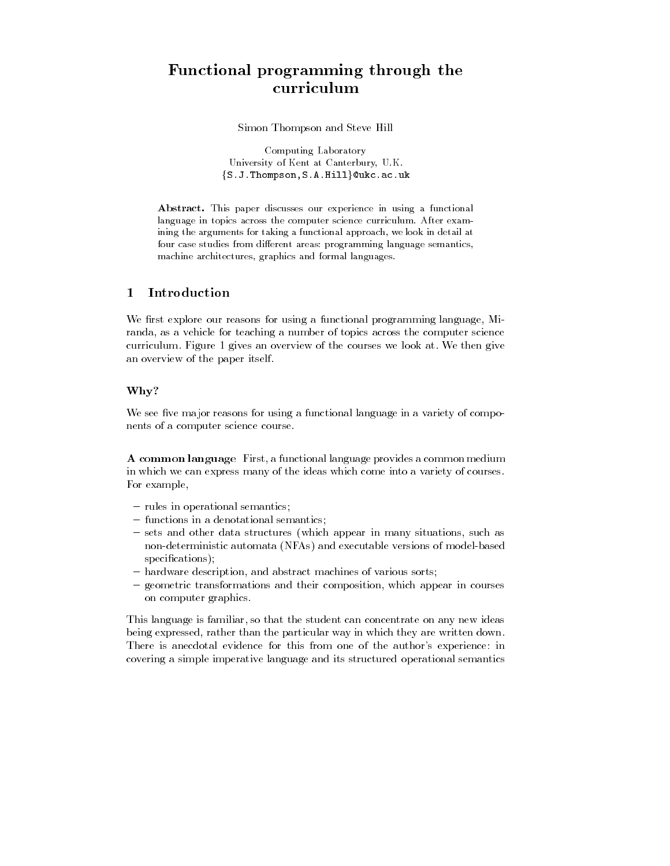# Functional programming through the  $cc = c$

Simon Thompson and Steve Hill

Computing Laboratory university of the Canterbury-Canterbury-Canterbury-{S.J.Thompson,S.A.Hill}@ukc.ac.uk

Abstract- This paper discusses our experience in using a functional language in topics across the computer science curriculum. After examining the arguments for taking a functional approach- we look in detail at four case studies from dierent areas programming language semantics machine architectures- graphics and formal languages

## Introduction

 $\mathbf{r}$  - rst explore our reasons for using a functional programming language  $\mathbf{r}$ randa, as a vehicle for teaching a number of topics across the computer science curriculum. Figure 1 gives an overview of the courses we look at. We then give an overview of the paper itself

### Why?

we see the manifest form for the manifest and component language in a variety of compo nents of a computer science course

A common language First a functional language provides a common medium in which we can express many of the ideas which come into a variety of courses For example

- rules in operational semantics.
- $f$  functions in a denotational semantics;
- sets and other data structures (which appear in many situations, such as non-deterministic automata (NFAs) and executable versions of model-based specialized and cation in the cation of the cation of the cation of the cation of the cation of the cation of the cation of the cation of the cation of the cation of the cation of the cation of the cation of the cation of
- hardware description, and abstract machines of various sorts;
- geometric transformations and their composition, which appear in courses on computer graphics

This language is familiar, so that the student can concentrate on any new ideas being expressed, rather than the particular way in which they are written down. There is anecdotal evidence for this from one of the author s experience in covering a simple imperative language and its structured operational semantics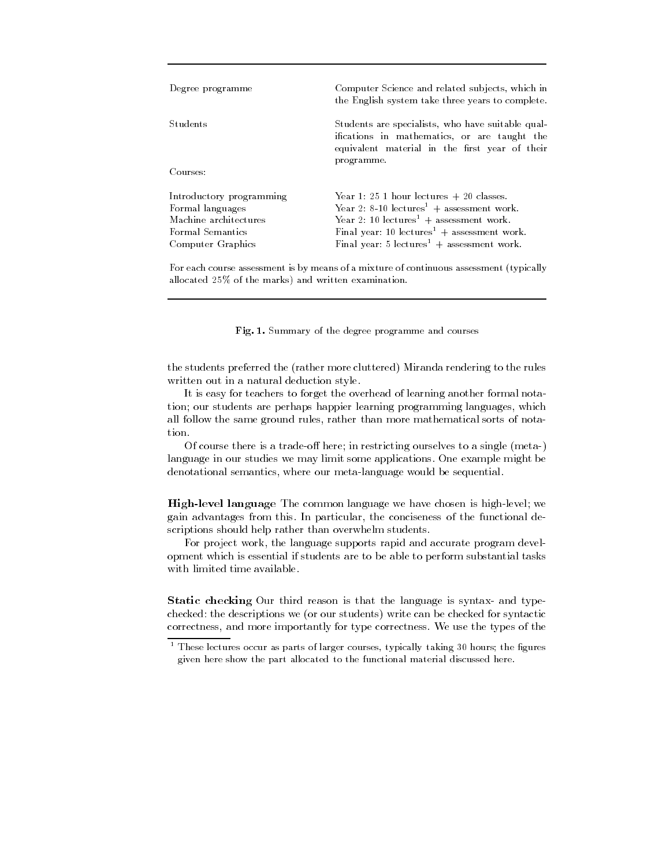| Degree programme                                                                          | Computer Science and related subjects, which in<br>the English system take three years to complete.                                                                                                                   |
|-------------------------------------------------------------------------------------------|-----------------------------------------------------------------------------------------------------------------------------------------------------------------------------------------------------------------------|
| Students                                                                                  | Students are specialists, who have suitable qual-<br>ifications in mathematics, or are taught the<br>equivalent material in the first year of their<br>programme.                                                     |
| Courses:                                                                                  |                                                                                                                                                                                                                       |
| Introductory programming<br>Formal languages<br>Machine architectures<br>Formal Semantics | Year 1: 25 1 hour lectures $+$ 20 classes.<br>Year 2: 8-10 lectures <sup>1</sup> + assessment work.<br>Year 2: 10 lectures <sup>1</sup> + assessment work.<br>Final year: 10 lectures <sup>1</sup> + assessment work. |
| Computer Graphics                                                                         | Final year: $5$ lectures <sup>1</sup> + assessment work.                                                                                                                                                              |

For each course assessment is by means of a mixture of continuous assessment (typically  $\alpha$ llocated  $\blacksquare$  of the marks  $\mu$  which examinations are  $\mu$ 

a summary of the degree programme and courses

the students preferred the rather more cluttered Miranda rendering to the rules written out in a natural deduction style.

It is easy for teachers to forget the overhead of learning another formal nota tion our students are perhaps happier learning programming languages which all follow the same ground rules rather than more mathematical sorts of nota tion

Of course there is a tradeo here in restricting ourselves to a single meta language in our studies we may limit some applications One example might bedenotational semantics where our metalanguage would be sequential

Highlevel language The common language we have chosen is highlevel we gain advantages from this In particular the conciseness of the functional de scriptions should help rather than overwhelm studies.

For project work the language supports rapid and accurate program devel opment which is essential if students are to be able to perform substantial tasks with limited time available

Static checking Our third reason is that the language is syntax and type checked: the descriptions we (or our students) write can be checked for syntactic correctness, and more importantly for type correctness. We use the types of the

 $^\circ$  -finese lectures occur as parts of larger courses, typically taking 30 nours; the figures given here show the part allocated to the functional material discussed here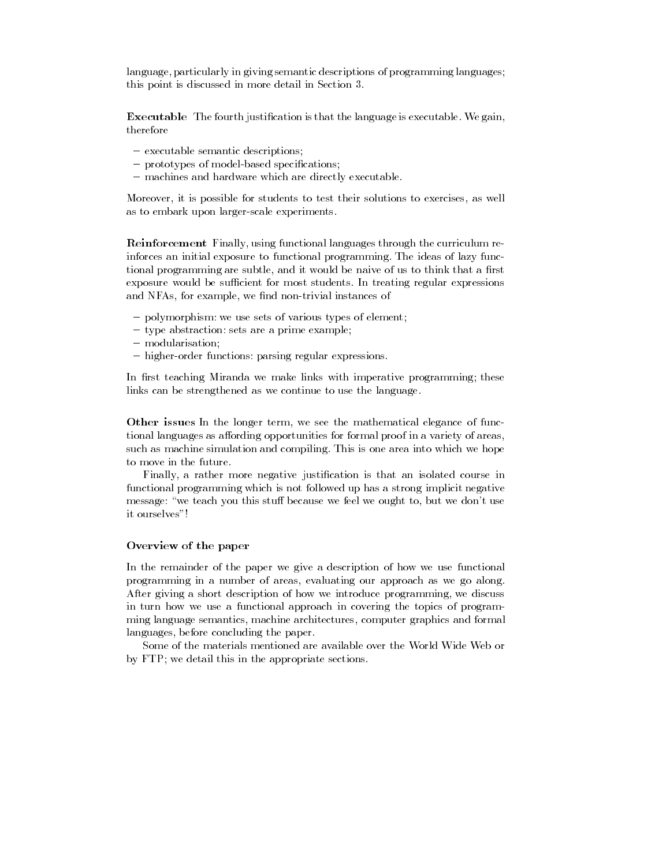language, particularly in giving semantic descriptions of programming languages; this point is discussed in more detail in Section

executable The fourth justice cation is the language is executed its gainst therefore

- $-$  executable semantic descriptions;
- prototypes of modelbased speci-cations
- machines and hardware which are directly executable.

Moreover, it is possible for students to test their solutions to exercises, as well as to embark upon larger-scale experiments.

Reinforcement Finally, using functional languages through the curriculum reinforces an initial exposure to functional programming The ideas of lazy func tional programming are subtle and it would be naive of us to think that a -rst exposure would be sufficient for most students. In treating regular expressions and the test for example, we define the set for and the set of

- $-$  polymorphism: we use sets of various types of element;
- $-$  type abstraction: sets are a prime example;
- modularisation;
- $h$  higher-order functions: parsing regular expressions.

In -rst teaching Miranda we make links with imperative programming these links can be strengthened as we continue to use the language

Other issues In the longer term, we see the mathematical elegance of functional languages as affording opportunities for formal proof in a variety of areas. such as machine simulation and compiling. This is one area into which we hope to move in the future.

Finally a rather more negative justi-cation is that an isolated course in functional programming which is not followed up has a strong implicit negative message we teach you this stu because we feel we ought to but we don t use it ourselves"!

#### Overview of the paper

In the remainder of the paper we give a description of how we use functional programming in a number of areas evaluating our approach as we go along After giving a short description of how we introduce programming, we discuss in turn how we use a functional approach in covering the topics of program ming language semantics, machine architectures, computer graphics and formal languages, before concluding the paper.

Some of the materials mentioned are available over the World Wide Web or by FTP; we detail this in the appropriate sections.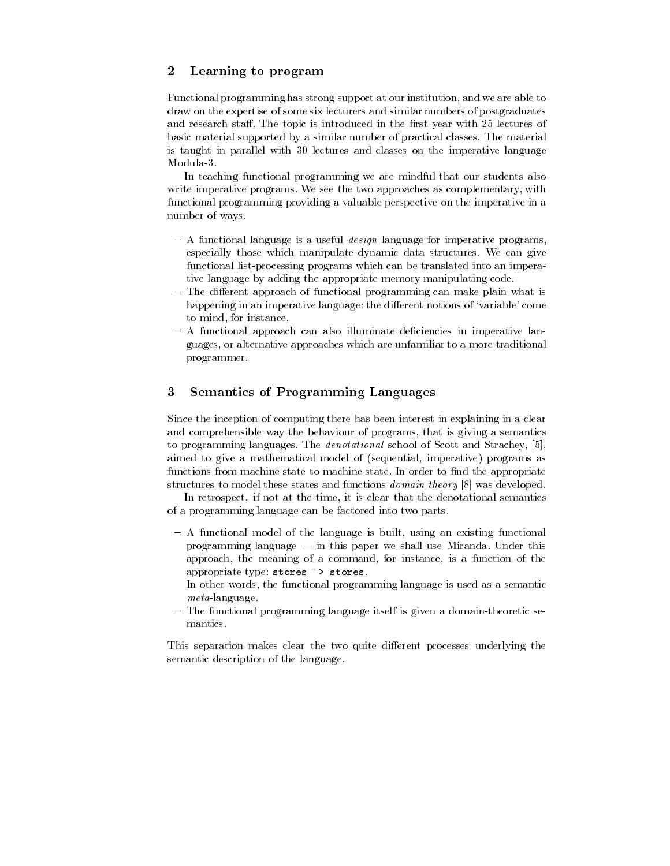#### $\boldsymbol{2}$ Learning to program

Functional programming has strong support at our institution and we are able to draw on the expertise of some six lecturers and similar numbers of postgraduates and research sta The topic is introduced in the -rst year with lectures of basic material supported by a similar number of practical classes The material is taught in parallel with 30 lectures and classes on the imperative language Modula-3.

In teaching functional programming we are mindful that our students also write imperative programs. We see the two approaches as complementary, with functional programming providing a valuable perspective on the imperative in a number of ways

- $-$  A functional language is a useful *design* language for imperative programs, especially those which manipulate dynamic data structures. We can give functional list-processing programs which can be translated into an imperative language by adding the appropriate memory manipulating code
- $-$  The different approach of functional programming can make plain what is happening in an imperative language the dierent notions of variable come to mind, for instance.
- A functional approach can also illuminate de-ciencies in imperative lan guages or alternative approaches which are unfamiliar to a more traditional programmer

#### 3 Semantics of Programming Languages

Since the inception of computing there has been interest in explaining in a clear and comprehensible way the behaviour of programs, that is giving a semantics to programming languages. The *denotational* school of Scott and Strachey,  $[5]$ , aimed to give a mathematical model of (sequential, imperative) programs as functions from machine state to machine state In order to -nd the appropriate structures to model these states and functions  $domain$  theory  $[8]$  was developed.

In retrospect, if not at the time, it is clear that the denotational semantics of a programming language can be factored into two parts

- $-$  A functional model of the language is built, using an existing functional programming language  $-$  in this paper we shall use Miranda. Under this approach, the meaning of a command, for instance, is a function of the appropriate type:  $\texttt{stores} \rightarrow \texttt{stores}.$ 
	- In other words, the functional programming language is used as a semantic  $meta$ -language.
- $-$  The functional programming language itself is given a domain-theoretic semantics.

This separation makes clear the two quite different processes underlying the semantic description of the language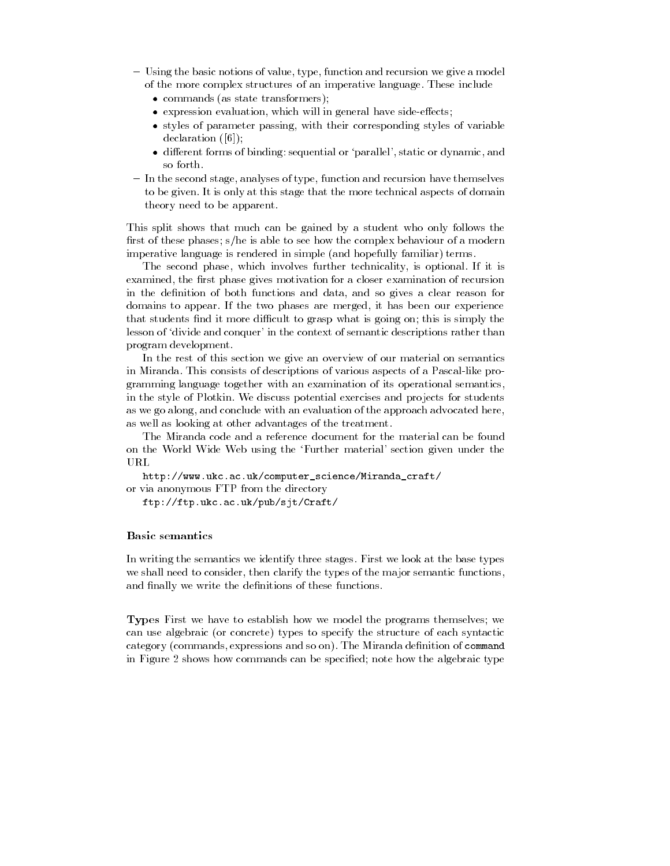- $-$  Using the basic notions of value, type, function and recursion we give a model of the more complex structures and include the more than  $\alpha$  include  $\alpha$  in  $\alpha$ 
	- $\bullet$  commands (as state transformers);
	- $\bullet$  expression evaluation, which will in general have side-effects;
	- styles of parameter passing, with their corresponding styles of variable  $\alpha$  .  $\alpha$  and  $\alpha$  and  $\alpha$  and  $\alpha$  and  $\alpha$  and  $\alpha$  and  $\alpha$  and  $\alpha$  and  $\alpha$  and  $\alpha$  and  $\alpha$  and  $\alpha$  and  $\alpha$  and  $\alpha$  and  $\alpha$  and  $\alpha$  and  $\alpha$  and  $\alpha$  and  $\alpha$  and  $\alpha$  and  $\alpha$  and  $\alpha$  and  $\alpha$  and  $\alpha$  an
	- a dierent format of binding sequential or parallel or parallel in the static or distribution and the static or so forth
- $\overline{I}$  In the second stage, analyses of type, function and recursion have themselves to be given It is only at this stage that the more technical aspects of domaintheory need to be apparent

This split shows that much can be going to see the student who one who only the studies that who only -rst of these phases she is able to see how the complex behaviour of a modernimperative ranguage is rendered in simple (with hopefully ranimary version)

The second phase which involves further technicality is optional If it is rst phase gives motivation for a close the contraction of the contraction of the contraction of the contractio in the definition of poth functions when develop which as a clear functions and domains to appear it the the phases are mediated it in have our experience and respect to definite a studies in the studies of the studies is simplestic to the studies of the studies of the in the context of dividence and context of the context of semantic context of the context of semantic semantic program development

In the rest of this section we give an overview of the section of the section of the section of the section in Miranda This consists of descriptions of various aspects of a Pascallike programming language together with an examination of its operational semanticsin the style of Plotkin We discuss potential exercises and projects for studentsas we go along, and conclude with an evaluation of the approach advocated here, as well as looking at other advantages of the treatment

The Miranda code and a reference document and material for the material candidate computer for the material var vare given given given under van materiale aangevange webstede materiale materiale var URL

```
ukcomputer and accomputer and and accomputer and accomputer and accomputer and accomputer and a
or via anonymous FTP from the directory
```
ftpftp-ukc-ac-ukpubsjtCraft

#### Basic semantics

In writing the semantics we identify three stages First we look at the base typeswe shall need to consider, then clarify the types of the major semantic functions, and - and and -  $\alpha$  -  $\alpha$  -  $\alpha$  ,  $\alpha$  and  $\alpha$  -  $\alpha$  and  $\alpha$  and  $\alpha$  and  $\alpha$  and  $\alpha$  and  $\alpha$ 

Types First we have to establish how we model the programs themselves; we can use algebraic tor concrete types to specify the structure of each syntactic category (communities) expressions and so only frire mirand definition of communi in Figure = anothe how continuum can be specificat how how the algebraic type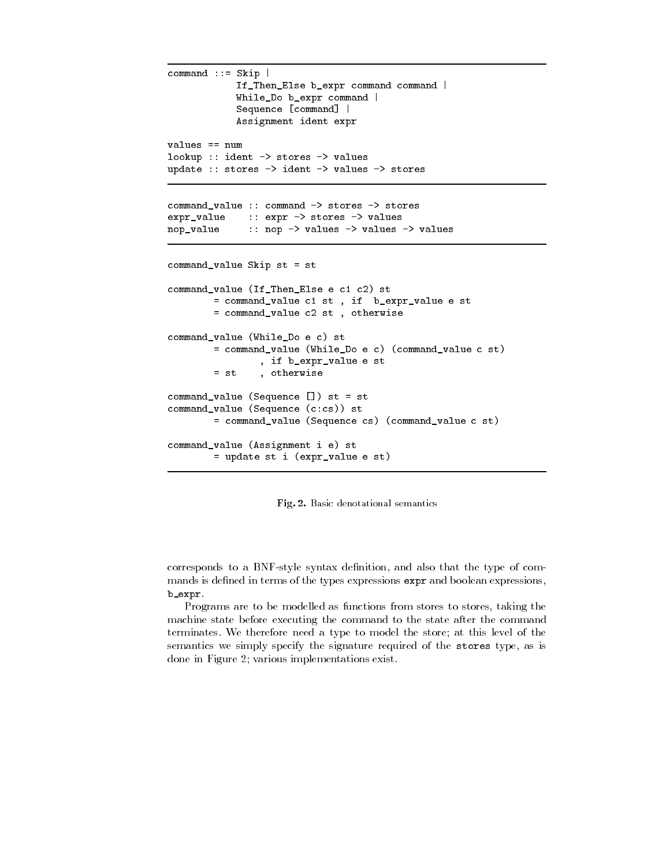```
communication in the communication of the communication of the communication of the communication of the communication of the communication of the communication of the communication of the communication of the communicatio
                         If Then Else b expr command command |
                         While_Do b expr command |Sequence [command] |
                         Assignment ident expr
lookup :: ident \rightarrow stores \rightarrow values
update :: stores \rightarrow ident \rightarrow values \rightarrow stores
command_value :: command \rightarrow stores \rightarrow stores
expr_value :: expr -> stores -> values
nop_value :: nop \rightarrow values \rightarrow values \rightarrow values
communications are communicated to the communications of the state of the state of the state of the state of th
command\_value (If_Then_Else e c1 c2) st
                 communications in the state of the state of the state of the state of the state of the state of the state of t
                 communication of \mathcal{L} and \mathcal{L} otherwise communication of \mathcal{L}command_value (While_Do e c) st
                 communication of the communication of the communication of the communication of the communication of the communication of the communication of the communication of the communication of the communication of the communicatio
                                 , if b_expr_value e st
                 = st
                                , otherwise
st months and the state of the state of the state of the state of the state of the state of the state of the s
command\_value (Sequence (c:cs)) st
                 command command of the state community of the state community of the state community of the state community of
command_value (Assignment i e) st
                 update st i expression and the state state state state state state state state state state state state state
```
Fig- - Basic denotational semantics

corresponds to a BNFstyle syntaxia de-dimensional and also that the type of comp mands is de-ned in terms of the types expressions expr and boolean expressions <sup>b</sup> expr

Programs are to be modelled as functions from stores to stores taking the machine state before executing the command to the state after the command terminates We therefore need <sup>a</sup> type to model the store at this level of the seminical de simply specifications as is the semi-term of the stores the stores the stores th done in Figure 2; various implementations exist.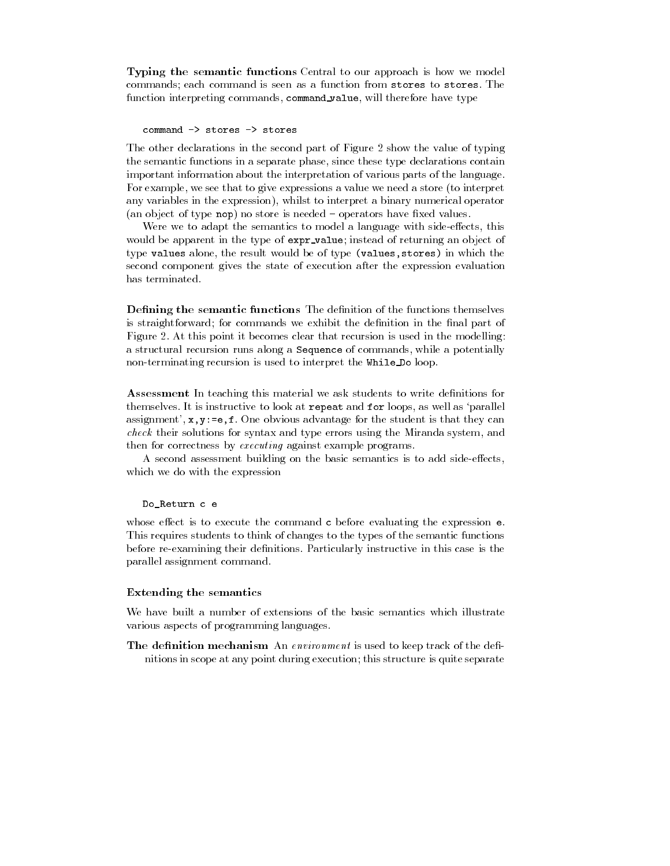Typing the semantic functions Central to our approach is how we model commands; each command is seen as a function from stores to stores. The function interpreting commands, command\_value, will therefore have type

#### command  $\rightarrow$  stores  $\rightarrow$  stores

The other declarations in the second part of Figure 2 show the value of typing the semantic functions in a separate phase since these type declarations contain important information about the interpretation of various parts of the language For example, we see that to give expressions a value we need a store (to interpret any variables in the expression), whilst to interpret a binary numerical operator and object of type displacement is needed to produce the store  $\sim$ 

Were we to adapt the semantics to model a language with side-effects, this would be apparent in the type of expr\_value; instead of returning an object of type values alone, the result would be of type (values, stores) in which the second component gives the state of execution after the expression evaluation has terminated.

Dening the semantic functions The de-nition of the functions themselves is straightforward for community we exhibit the de-Figure 2. At this point it becomes clear that recursion is used in the modelling: a structural recursion runs along a Sequence of commands while a potentially non-terminating recursion is used to interpret the While Do loop.

Assessment In teaching this material we ask students to write de-nitions for themselves. It is instructive to look at repeat and for loops, as well as 'parallel assignment and advantage for the student is the student is the student is the study of the student is the stud check their solutions for syntax and type errors using the Miranda system and then for correctness by *executing* against example programs.

A second assessment building on the basic semantics is to add side-effects, which we do with the expression

#### Do Return <sup>c</sup> <sup>e</sup>

whose effect is to execute the command  $\epsilon$  before evaluating the expression  $\epsilon$ . This requires students to think of changes to the types of the semantic functions before reexamining their de-nitions Particularly instructive in this case is the parallel assignment command

#### Extending the semantics

We have built a number of extensions of the basic semantics which illustrate various aspects of programming languages

**The denimaten mechanism An** environment is used to keep track of the dennitions in scope at any point during execution; this structure is quite separate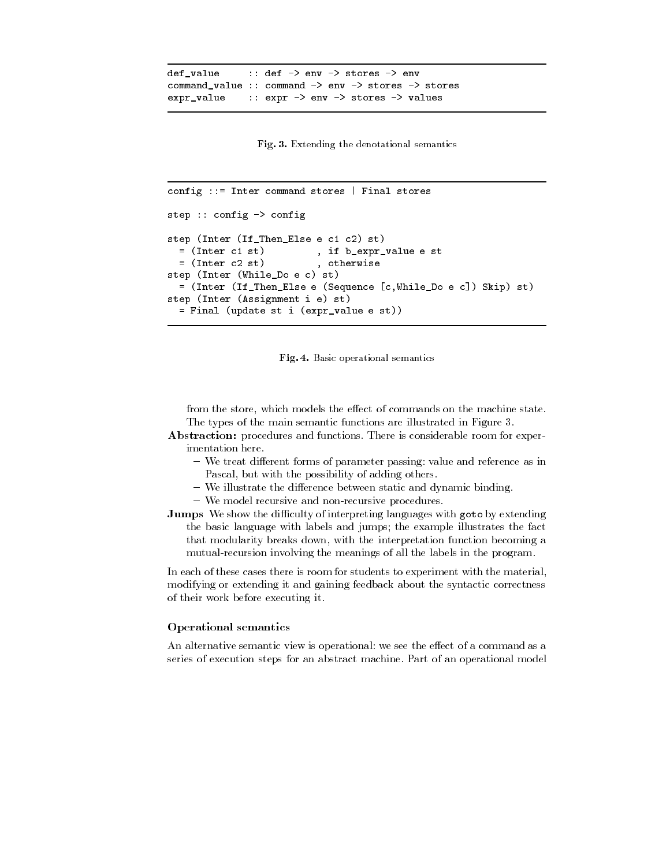```
def_value \cdots def \rightarrow env \rightarrow stores \rightarrow env
command_value :: command \rightarrow env \rightarrow stores \rightarrow stores
expr_value :: expr \rightarrow env \rightarrow store \rightarrow values
```
**External semantics the density of the density of the denotation** semantics of the denotes of the density of the

```
config 
 Inter command stores  Final stores
step :: config \rightarrow config
step (Inter (If_{n}Then_{n})Else e c1 c2) st)
   = (Inter c1 st)
                                          , if b_expr_value e st
   Inter controlled the controlled term of the controlled term of the controlled term of the controlled term of t
step (Inter (While_Do e c) st)
   . International contract the Skip state of the Skip state of the Skip state of the Skip state of the Skip state
step (Inter (Assignment i e) st)
   Final update state strategies is stated as a state of the state of the state of the state of the state of the
```
a sa semantic operational semantics

from the store, which models the effect of commands on the machine state. The types of the main semantic functions are illustrated in Figure 3.

- Abstraction: procedures and functions. There is considerable room for experimentation here
	- We treat different forms of parameter passing: value and reference as in Pascal, but with the possibility of adding others.
	- $-$  We illustrate the difference between static and dynamic binding.
	- $-$  We model recursive and non-recursive procedures.
- **Jumps** We show the difficulty of interpreting languages with goto by extending the basic language with labels and jumps; the example illustrates the fact that modularity breaks down, with the interpretation function becoming a mutual-recursion involving the meanings of all the labels in the program.

In each of these cases there is room for students to experiment with the material modifying or extending it and gaining feedback about the syntactic correctness of their work before executing it

#### Operational semantics

An alternative semantic view is operational: we see the effect of a command as a series of execution steps for an abstract machine Part of an operational model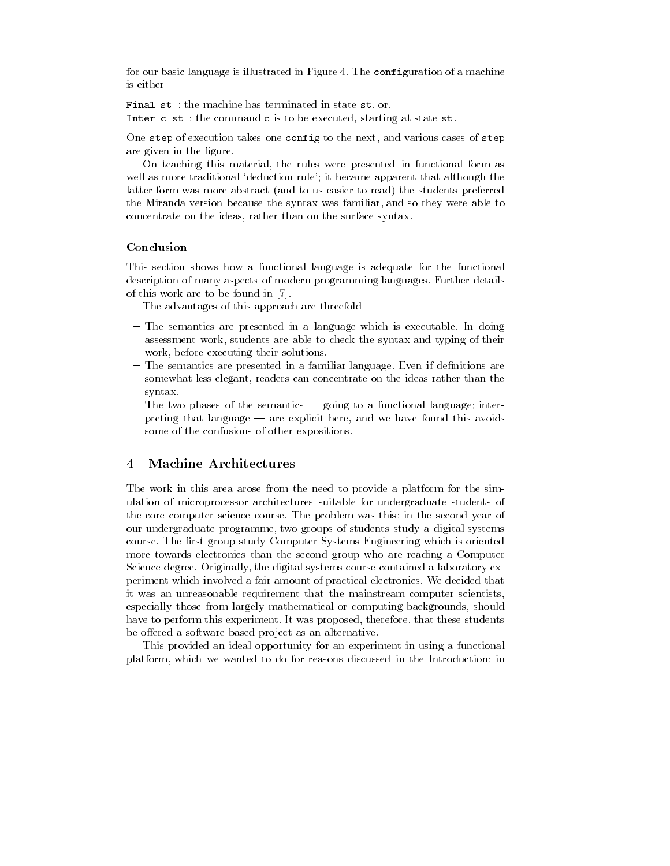for our basic language is illustrated in Figure The configuration of a machine is either

Final st the machine has terminated in state st or Inter <sup>c</sup> st the command <sup>c</sup> is to be executed starting at state st

One step of execution takes one configuration to the main takes one configuration of step  $\mathbf{a}$   $\mathbf{b}$  are  $\mathbf{b}$  in the  $\mathbf{a}$  subsequently the set of  $\mathbf{b}$ 

On teaching this material this material this material the rules were the rules were presented in the control of well was the traditional deduction rules in the control was play that the weight that the t latter form was more abstract (and to us easier to read) the students preferred the Miranda version because the syntax was familiar and so they were able to concentrate on the ideas, rather than on the surface syntax.

#### Conclusion

This section shows how a function shows the function  $\mathbf{u}$  and  $\mathbf{u}$  and  $\mathbf{u}$ description of many aspects of modern programming languages Further details of this work are to be found in

The advantages of this approach are threefold

- $-$  The semantics are presented in a language which is executable. In doing assessment work students are able to check the syntax and typing of theirwork, before executing their solutions.
- The semantics are presented in a familiar language Even in a family of the semantic desomewhat less elegant, readers can concentrate on the ideas rather than the syntax
- $-$  The two phases of the semantics  $-$  going to a functional language; interpresident areas realistically and explicitly reach and the measure reading and we have the model some of the confusions of other expositions

#### Machine Architectures

The work is an arose work would the need the mother work are the simple and the simple and the simple ulation of microprocessor architectures suitable for undergraduate students of the core community science course. The problem was the second the second year of our undergraduate programme two groups of students study a digital systems course The - respect the computer System Systems Engineering Systems and Computer Systems Engineering Systems more towards electronics than the second group who are reading <sup>a</sup> Computer Science degree Originally the digital systems course contained a laboratory ex periment which involved a fair amount of practical electronics We decided thatit the extra distribution of the mainstream computer that the mainstrate computer scientists to contract the m especially those from largely mathematical or computing backgrounds should have to perform this experiment. It was proposed, therefore, that these students be onered a software based project as an alternative.

This provided an ideal opportunity for an experiment in using a functionalplatform which we wanted to do for reasons discussed in the Introduction in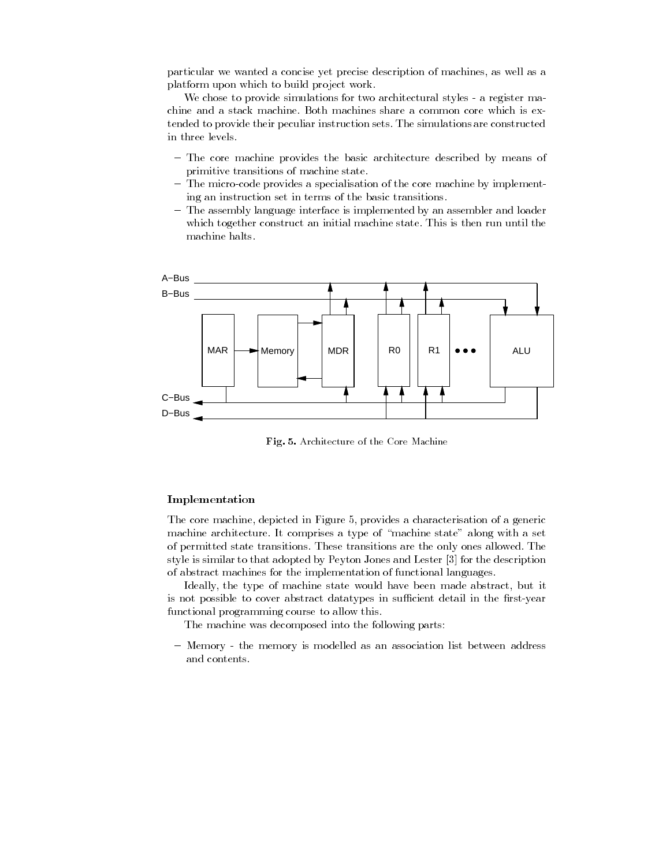particular we wanted a concise yet precise description of machines as well as a platform upon which to build project work

We chose to provide simulations for two architectural styles a register ma chine and <sup>a</sup> stack machine Both machines share <sup>a</sup> common core which is ex tended to provide their peculiar instruction sets The simulations are constructed in three levels

- The core machine provides the basic architecture described by means of primitive transitions of machine state
- $-$  The micro-code provides a specialisation of the core machine by implementing an instruction set in terms of the basic transitions
- The assembly language interface is implemented by an assembler and loader which together construct an initial machine state. This is then run until the machine halts



Fig- - Architecture of the Core Machine

#### Implementation

The core machine depicted in Figure provides a characterisation of a generic machine architecture It comprises a type of machine state along with a set of permitted state transitions These transitions are the only ones allowed Thestyle is similar to that adopted by Peyton Jones and Lester 
 for the description of abstract machines for the implementation of functional languages

Ideally the type of machine state would have been made abstract but it is not possible to cover abstract datatypes in suiterally detail in the films part functional programming course to allow this

The machine was decomposed into the following parts

– Memory - the memory is modelled as an association list between address and contents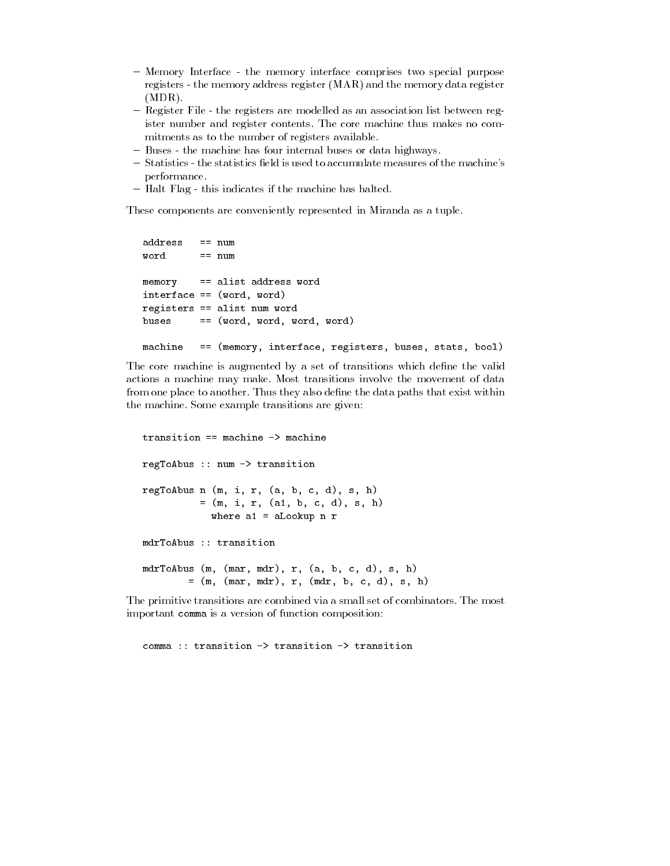- Memory Interface the memory interface comprises two special purpose registers - the memory address register (MAR) and the memory data register  $(MDR)$ .
- Register File the registers are modelled as an association list between register number and register contents The core machine thus makes no com mitments as to the number of registers available
- Buses the machine has four internal buses or data highways.
- performance
- $-$  Halt Flag  $-$  this indicates if the machine has halted.

These components are conveniently represented in Miranda as a tuple

```
address 
memory 
interface 

 word word
registers and the control of the control of the control of the control of the control of the control of the co
buses 

 word word word word
machine
```
The core machine is augmented by a set of transitions which deactions a machine may make Most transitions involve the movement of data from one place to another Thus they also de-ne the data paths that exist within the machine Some example transitions are given

memory interface registers business states books and the contract of the contract of the contract of the contract of

```
regToAbus :: num \rightarrow transitionregToAbus n (m, i, r, (a, b, c, d), s, h)\cdots , \cdots , \cdots , \cdots , \cdots , \cdots , \cdots , \cdotswhere a construction of the construction of the construction of the construction of the construction of the co
mdrToAbus :: transition
mdrToAbus (m, (mar, mdr), r, (a, b, c, d), s, h)
 m mar mdr r mdr b c d s h
```
The primitive transitions are combined via a small set of combinators The most important comma is a version of function composition

comma :: transition  $\rightarrow$  transition  $\rightarrow$  transition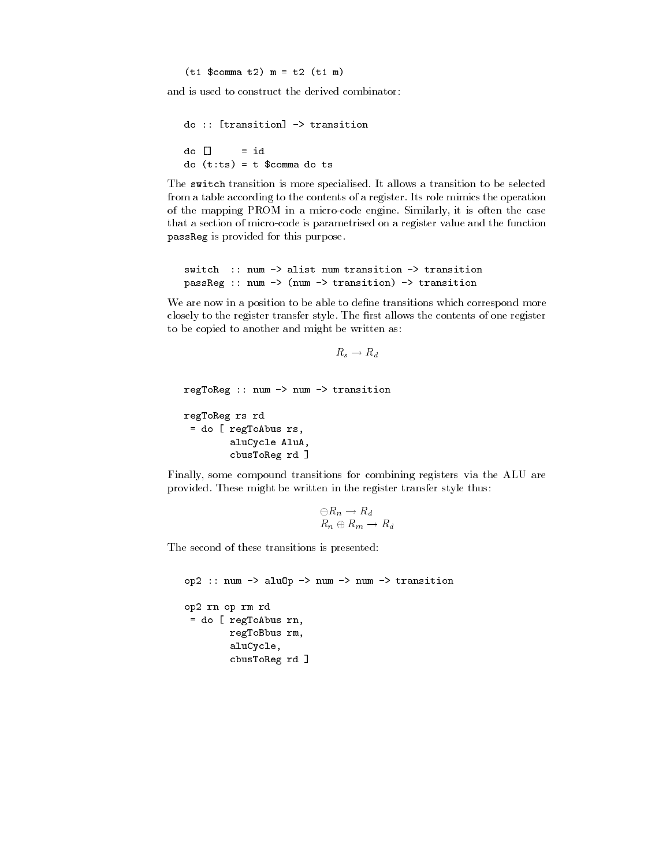t community to the community of the community of  $\mathbf{r}$ 

and is used to construct the derived combinator

```
do :: [transition] \rightarrow transition
do []
            = id
```
do tts t comma do ts

The switch transition is more specialised. It allows a transition to be selected from a table according to the contents of a register. Its role mimics the operation of the mapping PROM in a micro-code engine. Similarly, it is often the case that a section of micro-code is parametrised on a register value and the function passReg is provided for this purpose

switch :: num  $\rightarrow$  alist num transition  $\rightarrow$  transition passReg :: num  $\rightarrow$  (num  $\rightarrow$  transition)  $\rightarrow$  transition

We are now in a position to be able to de-ne transitions which correspond more closely to the register transfer style The -rst allows the contents of one register to be copied to another and might be written as

$$
R_s\to R_d
$$

```
regToReg :: num \rightarrow num \rightarrow transitionregToReg rs rd
  do and a region of the contract of the set of the set of the set of the set of the set of the set of the set o
                 aluCycle AluA
                 cbusToReg rd
```
Finally, some compound transitions for combining registers via the ALU are provided These might be written in the register transfer style thus

$$
\ominus R_n \to R_d
$$
  

$$
R_n \oplus R_m \to R_d
$$

The second of these transitions is presented

```
op 2: num \rightarrow aluOp \rightarrow num \rightarrow num \rightarrow transition
op rn op rm rd
   do and a region of the contract of the second contract of the second contract of the second contract of the second contract of the second contract of the second contract of the second contract of the second contract of the
                       regToBbus rm
                        aluCycle
                        cbusToReg rd
```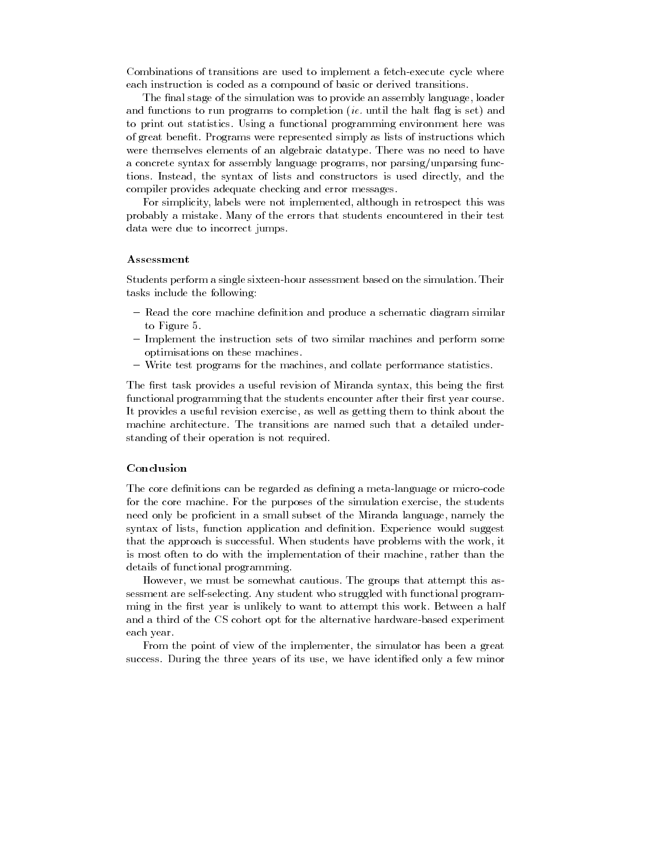Combinations of transitions are used to implement a fetchexecute cycle where each instruction is coded as a compound of basic or derived transitions

The -nal stage of the simulation was to provide an assembly language loader and functions to functions to completion its set many cases  $\mathcal{A}$  as set and to print out statistics Using a functional programming environment here was of great bene-t Programs were represented simply as lists of instructions which were themselves elements of an algebraic datatype There was no need to have a concrete syntax for assembly language programs, nor parsing/unparsing functions. Instead, the syntax of lists and constructors is used directly, and the compiler provides adequate checking and error messages

For simplicity, labels were not implemented, although in retrospect this was probably a mistake Many of the errors that students encountered in their test data were due to incorrect jumps

#### $\bf Assessment$

Students perform a single sixteen-hour assessment based on the simulation. Their tasks include the following

- Read the core machine de-nition and produce a schematic diagram similar to Figure
- Implement the instruction sets of two similar machines and perform some optimisations on these machines
- Write test programs for the machines, and collate performance statistics.

The -rst task provides a useful revision of Miranda syntax this being the -rst functional programming that the students encounter after their -rst year course It provides a useful revision exercise as well as getting them to think about the machine architecture. The transitions are named such that a detailed understanding of their operation is not required

#### Conclusion

The core de-nitions can be regarded as de-ning a metalanguage or microcode for the core machine For the purposes of the simulation exercise the students need only be promotive in a small subset of the miranda language namely the syntax of lists function application and de-nition Experience would suggest that the approach is successful. When students have problems with the work, it is most often to do with the implementation of their machine, rather than the details of functional programming

However, we must be somewhat cautious. The groups that attempt this assessment are self-selecting. Any student who struggled with functional programming in the -rst year is unlikely to want to attempt this work Between a half and a third of the CS cohort opt for the alternative hardware-based experiment each year

From the point of view of the implementer, the simulator has been a great success During the three years of its use we have identi-ed only a few minor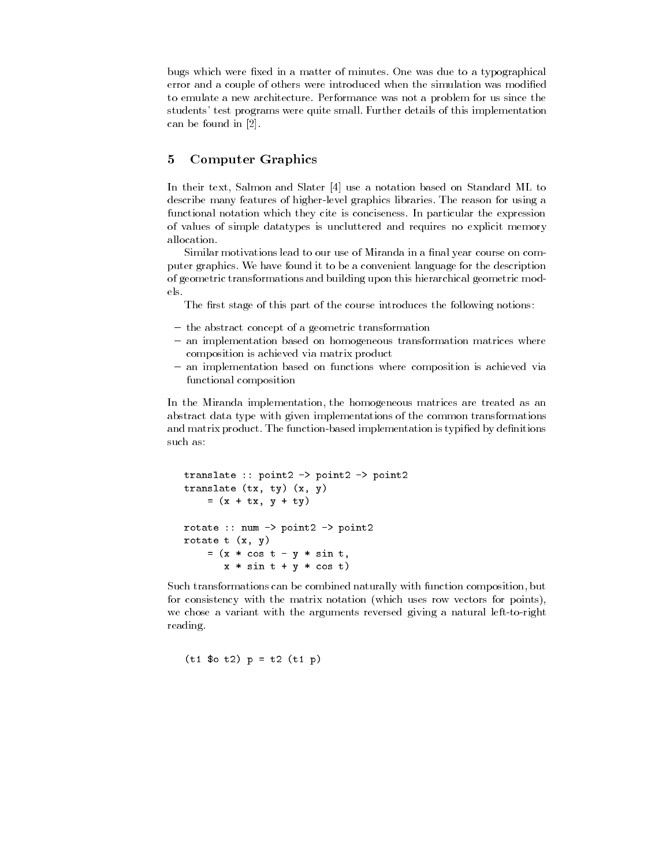bugs which we were also a late of minute of minutes of a minute of minute of model of  $\alpha$  of  $\beta$  of  $\beta$  and  $\beta$ error and a couple of others were introduced when the simulation was modi-ed to emulate a new architecture Performance was not a problem for us since the students were programme here guite small further details of this implementation. can be found in

#### Computer Graphics  $\mathbf{5}$

In their text Salmon and Slater Brown a notation based on Standard Medicine and Slater Management on Standard describe many features of higherlevel graphics libraries The reason for using a functional notation which they cite is conciseness In particular the expression of values of simple datatypes is uncluttered and requires no explicit memory allocation

Similar motivations lead to our use of Miranda in a -nal year course on com puter graphics We have found it to be a convenient language for the description of geometric transformations and building upon this hierarchical geometric mod els

The inter-crupt of this part of the course introduces the following notions.

- the abstract concept of a geometric transformation
- $-$  an implementation based on homogeneous transformation matrices where composition is achieved via matrix product
- an implementation based on functions where composition is achieved via functional composition

In the Miranda implementation the homogeneous matrices are treated as an abstract data type with given implementations of the common transformations and matrix product. The function based implementation by phica by demittions such as

```
translate :: point2 \rightarrow point2 \rightarrow point2translate (tx, ty) (x, y)
 x  tx y  ty
rotate :: num \rightarrow point2 \rightarrow point2rotate t(x, y)x  cos t  y  cos t  y  cos t  y  sin t  y  cos t  y  cos t  y  cos t  y  cos t  y  cos t  y  cos t  y  cos t  
           x * sin t + y * cos t)
```
Such transformations can be combined naturally with function composition, but for consistency with the matrix notation which uses row vectors for points we chose a variant with the arguments reversed and the arguments and a natural left the region reading

t o t <sup>p</sup> t t p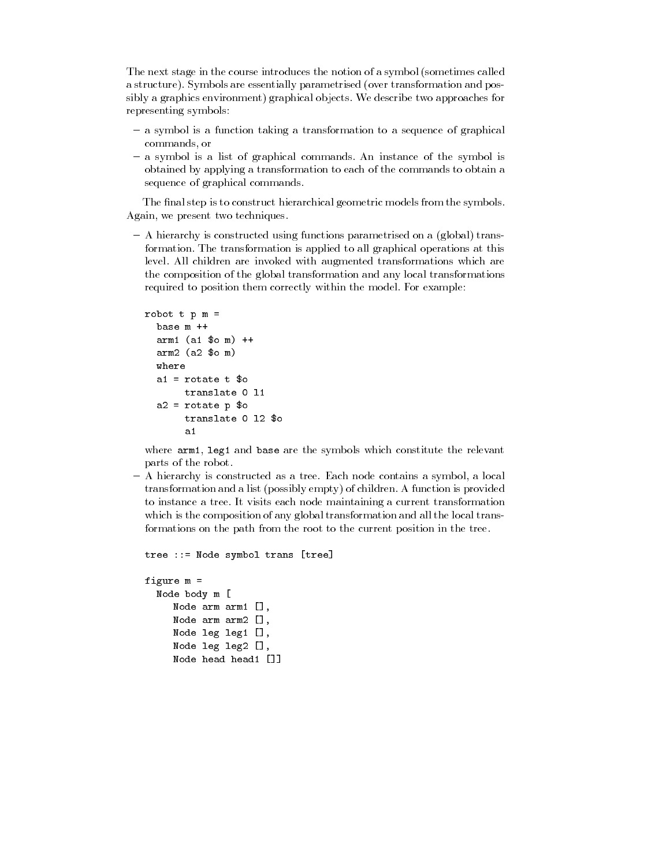The next stage in the course introduces the notion of a symbol (sometimes called a structure). Symbols are essentially parametrised (over transformation and possibly a graphics environment) graphical objects. We describe two approaches for representing symbols

- $-$  a symbol is a function taking a transformation to a sequence of graphical commands, or
- $-$  a symbol is a list of graphical commands. An instance of the symbol is obtained by applying a transformation to each of the commands to obtain a sequence of graphical commands

The -nal step is to construct hierarchical geometric models from the symbols Again, we present two techniques.

 $-$  A hierarchy is constructed using functions parametrised on a (global) transformation The transformation is applied to all graphical operations at this level All children are invoked with augmented transformations which are the composition of the global transformation and any local transformations required to position them correctly within the model. For example:

```
robot t p m 

  base m 
  arm1 (a1 $o m) ++\alpha and \alpha of \alpha or \alpham + c - ca 
 rotate t o
        translate  l
  . . . . . . . . .
        translate  l o
        a<sub>1</sub>--
```
where arm1, leg1 and base are the symbols which constitute the relevant parts of the robot

- A hierarchy is constructed as a tree. Each node contains a symbol, a local transformation and a list (possibly empty) of children. A function is provided to instance a tree It visits each node maintaining a current transformation which is the composition of any global transformation and all the local transformations on the path from the root to the current position in the tree

tree Node symbol trans tree

```
figure m 

 Node body m 
    Node arm arm 

    Node arm arm 

    Node leg leg 

    Node leg leg 

    nvav nvaa nvaa he
```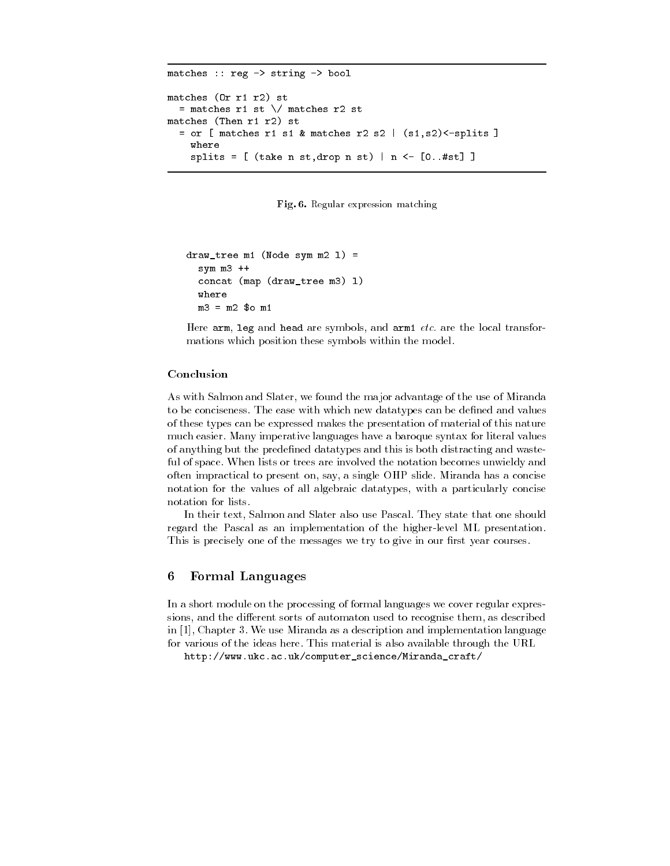```
matches in the string weeks
matches or restaurant and restaurant and restaurant and restaurant and restaurant and restaurant and restauran
   matches r st was strong as st
mavvice times in str
   or i matter se se v matter se se i teilte. Vansett
      \cdotssplits the state in the state of the state of the state of the state of the state of the state of the state of
```
Fig- - Regular expression matching

```
draw tree measured with the symmetry
    \sim mm mm \simconcert many concert many concert and concert and concert and concert and concert and concert and concert and 
    \cdots where \cdotsm m o m
```
Here arm leg and head are symbols and arm etc- are the local transfor mations which position these symbols within the model

#### Conclusion

As with Salmon and Slater, we found the major advantage of the use of Miranda to be concisentative and the east with which new data the east with which new data the deof these types can be expressed makes the presentation of material of this nature much easier. Many imperative languages have a baroque syntax for literal values of anything but the prede-ned datatypes and this is both distracting and waste ful of space When lists or trees are involved the notation becomes unwieldy and often impractical to present on say a single OHP slide Miranda has a concise notation for the values of all algebraic datatypes, with a particularly concise notation for lists

In their text, Salmon and Slater also use Pascal. They state that one should regard the Pascal as an implementation of the higherlevel ML presentation This is precisely one of the messages we try to give in our -rst year courses

#### 6 Formal Languages

In a short module on the processing of formal languages we cover regular expres sions, and the different sorts of automaton used to recognise them, as described in [1], Chapter 3. We use Miranda as a description and implementation language for various of the ideas here This material is also available through the URL

actor and under the computer of the computer of the computer of the computer of the computer of the computer o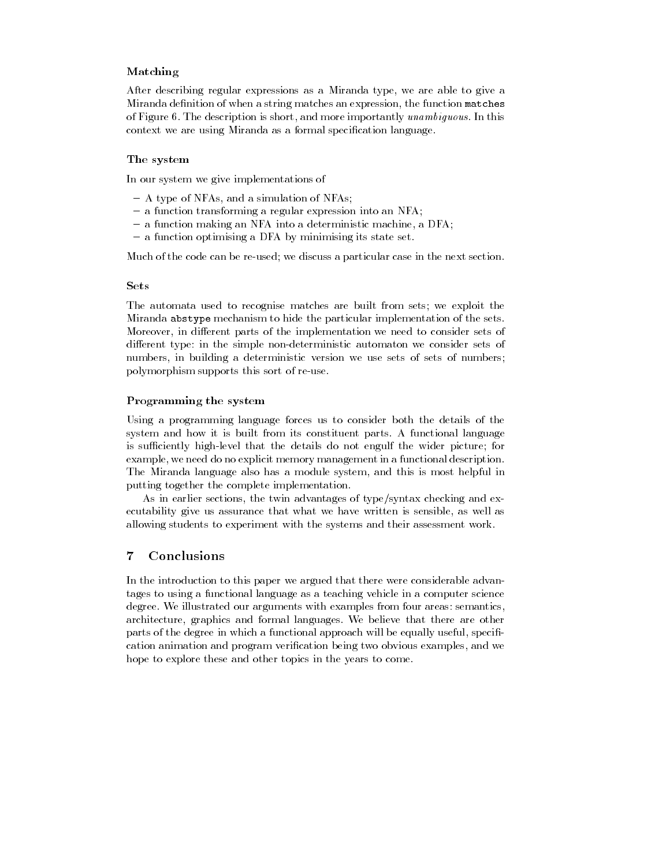#### Matching

After describing regular expressions as a Miranda type, we are able to give a Miranda de-nition of when a string matches an expression the function matches of Figure 6. The description is short, and more importantly unambiguous. In this context we are using Miranda as a formal speci-cation language

#### The system

In our system we give implementations of

- A type of Italia, and a simulation of Italia
- a function transforming a regular expression into an FIFA
- a function making an FIFA into a deterministic machine a DFA;
- a function optimising a DFA by minimising its state set

Much of the code can be re-used; we discuss a particular case in the next section.

#### Sets

The automata used to recognise matches are built from sets; we exploit the Miranda abstype mechanism to hide the particular implementation of the sets Moreover, in different parts of the implementation we need to consider sets of different type: in the simple non-deterministic automaton we consider sets of numbers, in building a deterministic version we use sets of sets of numbers; polymorphism supports this sort of re-use.

#### Programming the system

Using a programming language forces us to consider both the details of the system and how it is built from its constituent parts A functional language is sufficiently high-level that the details do not engulf the wider picture; for example, we need do no explicit memory management in a functional description. The Miranda language also has a module system and this is most helpful in putting together the complete implementation

As in earlier sections, the twin advantages of type/syntax checking and executability give us assurance that what we have written is sensible, as well as allowing students to experiment with the systems and their assessment work

#### $\overline{7}$ Conclusions

In the introduction to this paper we argued that there were considerable advan tages to using a functional language as a teaching vehicle in a computer science degree. We illustrated our arguments with examples from four areas: semantics, architecture, graphics and formal languages. We believe that there are other parts of the degree in which a functional approach will be equally useful speci cation animation and program veri-cation being two obvious examples and we hope to explore these and other topics in the years to come